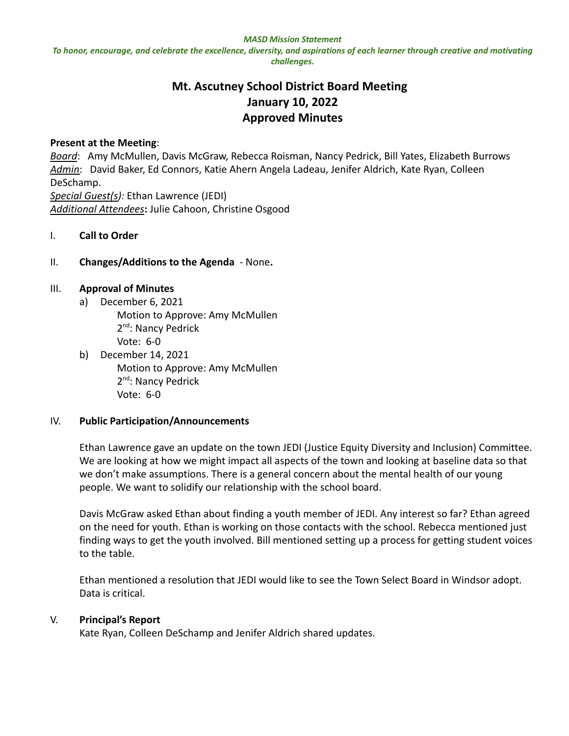#### *MASD Mission Statement*

To honor, encourage, and celebrate the excellence, diversity, and aspirations of each learner through creative and motivating *challenges.*

# **Mt. Ascutney School District Board Meeting January 10, 2022 Approved Minutes**

#### **Present at the Meeting**:

*Board*: Amy McMullen, Davis McGraw, Rebecca Roisman, Nancy Pedrick, Bill Yates, Elizabeth Burrows *Admin*: David Baker, Ed Connors, Katie Ahern Angela Ladeau, Jenifer Aldrich, Kate Ryan, Colleen DeSchamp. *Special Guest(s):* Ethan Lawrence (JEDI) *Additional Attendees***:** Julie Cahoon, Christine Osgood

#### I. **Call to Order**

#### II. **Changes/Additions to the Agenda** - None**.**

#### III. **Approval of Minutes**

- a) December 6, 2021 Motion to Approve: Amy McMullen 2<sup>nd</sup>: Nancy Pedrick Vote: 6-0
- b) December 14, 2021 Motion to Approve: Amy McMullen 2<sup>nd</sup>: Nancy Pedrick Vote: 6-0

#### IV. **Public Participation/Announcements**

Ethan Lawrence gave an update on the town JEDI (Justice Equity Diversity and Inclusion) Committee. We are looking at how we might impact all aspects of the town and looking at baseline data so that we don't make assumptions. There is a general concern about the mental health of our young people. We want to solidify our relationship with the school board.

Davis McGraw asked Ethan about finding a youth member of JEDI. Any interest so far? Ethan agreed on the need for youth. Ethan is working on those contacts with the school. Rebecca mentioned just finding ways to get the youth involved. Bill mentioned setting up a process for getting student voices to the table.

Ethan mentioned a resolution that JEDI would like to see the Town Select Board in Windsor adopt. Data is critical.

#### V. **Principal's Report**

Kate Ryan, Colleen DeSchamp and Jenifer Aldrich shared updates.